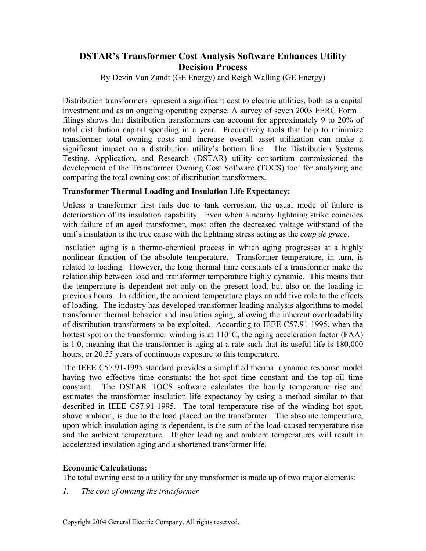# **DSTAR's Transformer Cost Analysis Software Enhances Utility Decision Process**

By Devin Van Zandt (GE Energy) and Reigh Walling (GE Energy)

Distribution transformers represent a significant cost to electric utilities, both as a capital investment and as an ongoing operating expense. A survey of seven 2003 FERC Form 1 filings shows that distribution transformers can account for approximately 9 to 20% of total distribution capital spending in a year. Productivity tools that help to minimize transformer total owning costs and increase overall asset utilization can make a significant impact on a distribution utility's bottom line. The Distribution Systems Testing, Application, and Research (DSTAR) utility consortium commissioned the development of the Transformer Owning Cost Software (TOCS) tool for analyzing and comparing the total owning cost of distribution transformers.

## **Transformer Thermal Loading and Insulation Life Expectancy:**

Unless a transformer first fails due to tank corrosion, the usual mode of failure is deterioration of its insulation capability. Even when a nearby lightning strike coincides with failure of an aged transformer, most often the decreased voltage withstand of the unit's insulation is the true cause with the lightning stress acting as the *coup de grace*.

Insulation aging is a thermo-chemical process in which aging progresses at a highly nonlinear function of the absolute temperature. Transformer temperature, in turn, is related to loading. However, the long thermal time constants of a transformer make the relationship between load and transformer temperature highly dynamic. This means that the temperature is dependent not only on the present load, but also on the loading in previous hours. In addition, the ambient temperature plays an additive role to the effects of loading. The industry has developed transformer loading analysis algorithms to model transformer thermal behavior and insulation aging, allowing the inherent overloadability of distribution transformers to be exploited. According to IEEE C57.91-1995, when the hottest spot on the transformer winding is at 110°C, the aging acceleration factor (FAA) is 1.0, meaning that the transformer is aging at a rate such that its useful life is 180,000 hours, or 20.55 years of continuous exposure to this temperature.

The IEEE C57.91-1995 standard provides a simplified thermal dynamic response model having two effective time constants: the hot-spot time constant and the top-oil time constant. The DSTAR TOCS software calculates the hourly temperature rise and estimates the transformer insulation life expectancy by using a method similar to that described in IEEE C57.91-1995. The total temperature rise of the winding hot spot, above ambient, is due to the load placed on the transformer. The absolute temperature, upon which insulation aging is dependent, is the sum of the load-caused temperature rise and the ambient temperature. Higher loading and ambient temperatures will result in accelerated insulation aging and a shortened transformer life.

## **Economic Calculations:**

The total owning cost to a utility for any transformer is made up of two major elements:

*1. The cost of owning the transformer*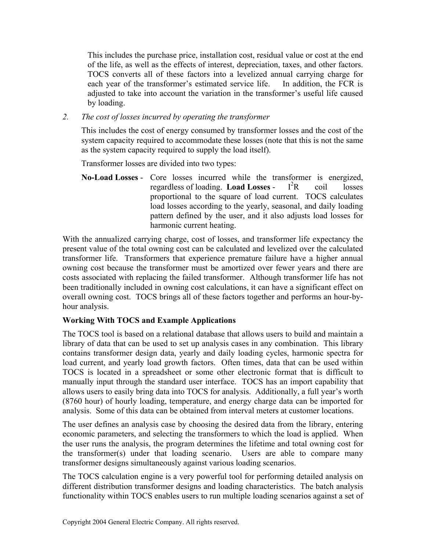This includes the purchase price, installation cost, residual value or cost at the end of the life, as well as the effects of interest, depreciation, taxes, and other factors. TOCS converts all of these factors into a levelized annual carrying charge for each year of the transformer's estimated service life. In addition, the FCR is adjusted to take into account the variation in the transformer's useful life caused by loading.

*2. The cost of losses incurred by operating the transformer* 

 This includes the cost of energy consumed by transformer losses and the cost of the system capacity required to accommodate these losses (note that this is not the same as the system capacity required to supply the load itself).

Transformer losses are divided into two types:

**No-Load Losses** - Core losses incurred while the transformer is energized, regardless of loading. **Load Losses** -  $I^2R$ coil losses proportional to the square of load current. TOCS calculates load losses according to the yearly, seasonal, and daily loading pattern defined by the user, and it also adjusts load losses for harmonic current heating.

With the annualized carrying charge, cost of losses, and transformer life expectancy the present value of the total owning cost can be calculated and levelized over the calculated transformer life. Transformers that experience premature failure have a higher annual owning cost because the transformer must be amortized over fewer years and there are costs associated with replacing the failed transformer. Although transformer life has not been traditionally included in owning cost calculations, it can have a significant effect on overall owning cost. TOCS brings all of these factors together and performs an hour-byhour analysis.

## **Working With TOCS and Example Applications**

The TOCS tool is based on a relational database that allows users to build and maintain a library of data that can be used to set up analysis cases in any combination. This library contains transformer design data, yearly and daily loading cycles, harmonic spectra for load current, and yearly load growth factors. Often times, data that can be used within TOCS is located in a spreadsheet or some other electronic format that is difficult to manually input through the standard user interface. TOCS has an import capability that allows users to easily bring data into TOCS for analysis. Additionally, a full year's worth (8760 hour) of hourly loading, temperature, and energy charge data can be imported for analysis. Some of this data can be obtained from interval meters at customer locations.

The user defines an analysis case by choosing the desired data from the library, entering economic parameters, and selecting the transformers to which the load is applied. When the user runs the analysis, the program determines the lifetime and total owning cost for the transformer(s) under that loading scenario. Users are able to compare many transformer designs simultaneously against various loading scenarios.

The TOCS calculation engine is a very powerful tool for performing detailed analysis on different distribution transformer designs and loading characteristics. The batch analysis functionality within TOCS enables users to run multiple loading scenarios against a set of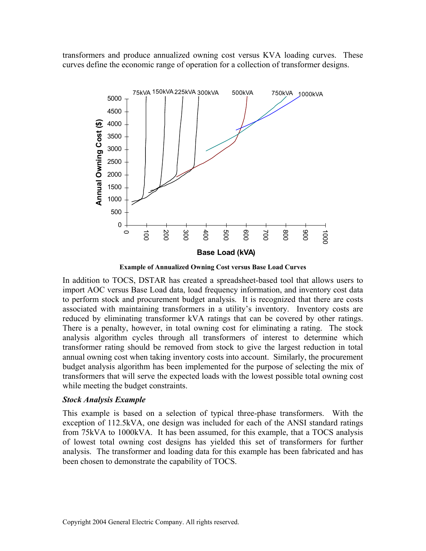transformers and produce annualized owning cost versus KVA loading curves. These curves define the economic range of operation for a collection of transformer designs.



**Example of Annualized Owning Cost versus Base Load Curves** 

In addition to TOCS, DSTAR has created a spreadsheet-based tool that allows users to import AOC versus Base Load data, load frequency information, and inventory cost data to perform stock and procurement budget analysis. It is recognized that there are costs associated with maintaining transformers in a utility's inventory. Inventory costs are reduced by eliminating transformer kVA ratings that can be covered by other ratings. There is a penalty, however, in total owning cost for eliminating a rating. The stock analysis algorithm cycles through all transformers of interest to determine which transformer rating should be removed from stock to give the largest reduction in total annual owning cost when taking inventory costs into account. Similarly, the procurement budget analysis algorithm has been implemented for the purpose of selecting the mix of transformers that will serve the expected loads with the lowest possible total owning cost while meeting the budget constraints.

### *Stock Analysis Example*

This example is based on a selection of typical three-phase transformers. With the exception of 112.5kVA, one design was included for each of the ANSI standard ratings from 75kVA to 1000kVA. It has been assumed, for this example, that a TOCS analysis of lowest total owning cost designs has yielded this set of transformers for further analysis. The transformer and loading data for this example has been fabricated and has been chosen to demonstrate the capability of TOCS.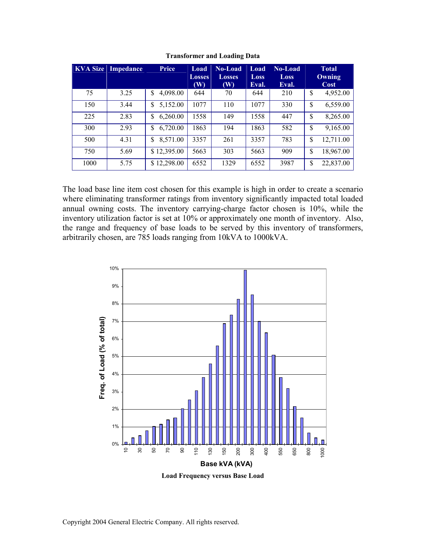|      | <b>KVA Size Impedance</b> | Price          | Load<br><b>Losses</b> | <b>No-Load</b><br><b>Losses</b> | Load<br>Loss | <b>No-Load</b><br><b>Loss</b> | <b>Total</b><br>Owning |           |
|------|---------------------------|----------------|-----------------------|---------------------------------|--------------|-------------------------------|------------------------|-----------|
|      |                           |                | $(\mathbf{W})$        | (W)                             | Eval.        | Eval.                         |                        | Cost      |
| 75   | 3.25                      | 4,098.00<br>\$ | 644                   | 70                              | 644          | 210                           | \$                     | 4,952.00  |
| 150  | 3.44                      | 5,152.00<br>\$ | 1077                  | 110                             | 1077         | 330                           | \$                     | 6,559.00  |
| 225  | 2.83                      | 6,260.00<br>\$ | 1558                  | 149                             | 1558         | 447                           | \$                     | 8,265.00  |
| 300  | 2.93                      | 6,720.00<br>\$ | 1863                  | 194                             | 1863         | 582                           | \$                     | 9,165.00  |
| 500  | 4.31                      | 8,571.00<br>\$ | 3357                  | 261                             | 3357         | 783                           | \$                     | 12,711.00 |
| 750  | 5.69                      | \$12,395.00    | 5663                  | 303                             | 5663         | 909                           | \$                     | 18,967.00 |
| 1000 | 5.75                      | \$12,298.00    | 6552                  | 1329                            | 6552         | 3987                          | \$                     | 22,837.00 |

**Transformer and Loading Data** 

The load base line item cost chosen for this example is high in order to create a scenario where eliminating transformer ratings from inventory significantly impacted total loaded annual owning costs. The inventory carrying-charge factor chosen is 10%, while the inventory utilization factor is set at 10% or approximately one month of inventory. Also, the range and frequency of base loads to be served by this inventory of transformers, arbitrarily chosen, are 785 loads ranging from 10kVA to 1000kVA.



**Load Frequency versus Base Load**